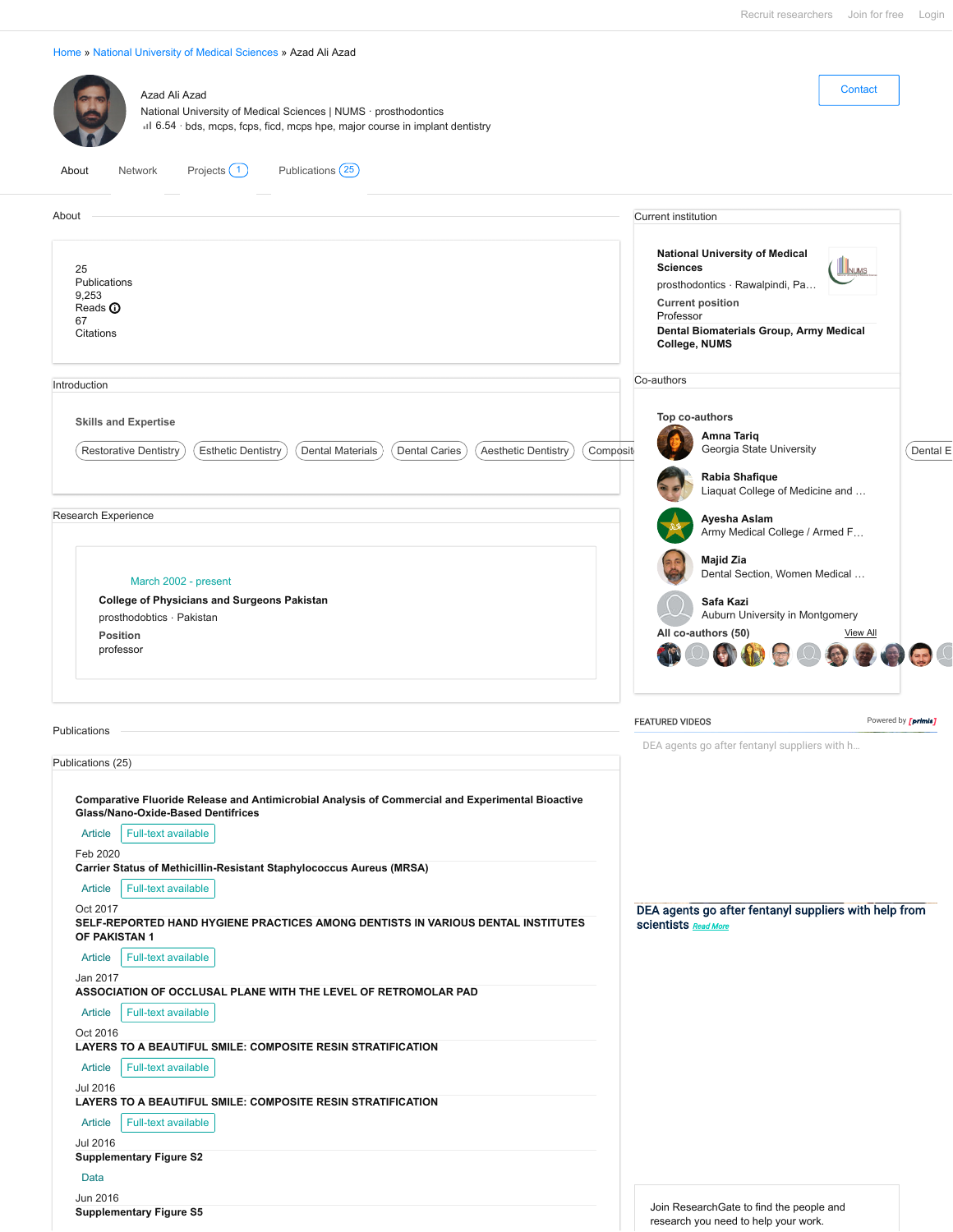| Azad Ali Azad<br>National University of Medical Sciences   NUMS · prosthodontics<br>il 6.54 · bds, mcps, fcps, ficd, mcps hpe, major course in implant dentistry                                                                                             | Contact                                                                                                                                                                                                          |
|--------------------------------------------------------------------------------------------------------------------------------------------------------------------------------------------------------------------------------------------------------------|------------------------------------------------------------------------------------------------------------------------------------------------------------------------------------------------------------------|
| Publications (25)<br>Projects (1)<br>Network<br>About                                                                                                                                                                                                        |                                                                                                                                                                                                                  |
| About                                                                                                                                                                                                                                                        | <b>Current institution</b>                                                                                                                                                                                       |
| 25<br>Publications<br>9,253<br>Reads $\bf{0}$<br>67<br>Citations                                                                                                                                                                                             | <b>National University of Medical</b><br><b>Sciences</b><br><b>IINUMS</b><br>prosthodontics · Rawalpindi, Pa<br><b>Current position</b><br>Professor<br>Dental Biomaterials Group, Army Medical<br>College, NUMS |
| Introduction                                                                                                                                                                                                                                                 | Co-authors                                                                                                                                                                                                       |
| <b>Skills and Expertise</b><br><b>Aesthetic Dentistry</b><br>Composit<br><b>Restorative Dentistry</b><br><b>Esthetic Dentistry</b><br><b>Dental Materials</b><br><b>Dental Caries</b>                                                                        | Top co-authors<br>Amna Tariq<br>Georgia State University<br>Dental E<br>Rabia Shafique<br>Liaquat College of Medicine and                                                                                        |
| Research Experience                                                                                                                                                                                                                                          | Ayesha Aslam<br>Army Medical College / Armed F                                                                                                                                                                   |
| March 2002 - present<br><b>College of Physicians and Surgeons Pakistan</b>                                                                                                                                                                                   | Majid Zia<br>Dental Section, Women Medical                                                                                                                                                                       |
| prosthodobtics · Pakistan                                                                                                                                                                                                                                    | Safa Kazi<br>Auburn University in Montgomery                                                                                                                                                                     |
| Position<br>professor                                                                                                                                                                                                                                        | All co-authors (50)<br><b>View All</b><br><b>ART</b>                                                                                                                                                             |
| Publications                                                                                                                                                                                                                                                 | <b>FEATURED VIDEOS</b><br>Powered by <i>[primis]</i>                                                                                                                                                             |
| Publications (25)                                                                                                                                                                                                                                            | DEA agents go after fentanyl suppliers with h                                                                                                                                                                    |
| Comparative Fluoride Release and Antimicrobial Analysis of Commercial and Experimental Bioactive<br>Glass/Nano-Oxide-Based Dentifrices<br>Full-text available<br>Article<br>Feb 2020<br>Carrier Status of Methicillin-Resistant Staphylococcus Aureus (MRSA) |                                                                                                                                                                                                                  |
| Full-text available<br>Article                                                                                                                                                                                                                               |                                                                                                                                                                                                                  |
| Oct 2017<br>SELF-REPORTED HAND HYGIENE PRACTICES AMONG DENTISTS IN VARIOUS DENTAL INSTITUTES<br>OF PAKISTAN 1                                                                                                                                                | DEA agents go after fentanyl suppliers with help from<br>scientists Read More                                                                                                                                    |
| Full-text available<br>Article                                                                                                                                                                                                                               |                                                                                                                                                                                                                  |
| Jan 2017<br>ASSOCIATION OF OCCLUSAL PLANE WITH THE LEVEL OF RETROMOLAR PAD                                                                                                                                                                                   |                                                                                                                                                                                                                  |
| Article<br>Full-text available                                                                                                                                                                                                                               |                                                                                                                                                                                                                  |
| Oct 2016<br><b>LAYERS TO A BEAUTIFUL SMILE: COMPOSITE RESIN STRATIFICATION</b>                                                                                                                                                                               |                                                                                                                                                                                                                  |
| <b>Article</b><br>Full-text available<br><b>Jul 2016</b>                                                                                                                                                                                                     |                                                                                                                                                                                                                  |
| LAYERS TO A BEAUTIFUL SMILE: COMPOSITE RESIN STRATIFICATION<br>Article<br>Full-text available                                                                                                                                                                |                                                                                                                                                                                                                  |
| <b>Jul 2016</b>                                                                                                                                                                                                                                              |                                                                                                                                                                                                                  |
| <b>Supplementary Figure S2</b><br>Data                                                                                                                                                                                                                       |                                                                                                                                                                                                                  |
| Jun 2016<br><b>Supplementary Figure S5</b>                                                                                                                                                                                                                   | Join ResearchGate to find the people and<br>research you need to help your work.                                                                                                                                 |

[Home](https://www.researchgate.net/) » [National University of Medical Sciences](https://www.researchgate.net/institution/National_University_of_Medical_Sciences) » Azad Ali Azad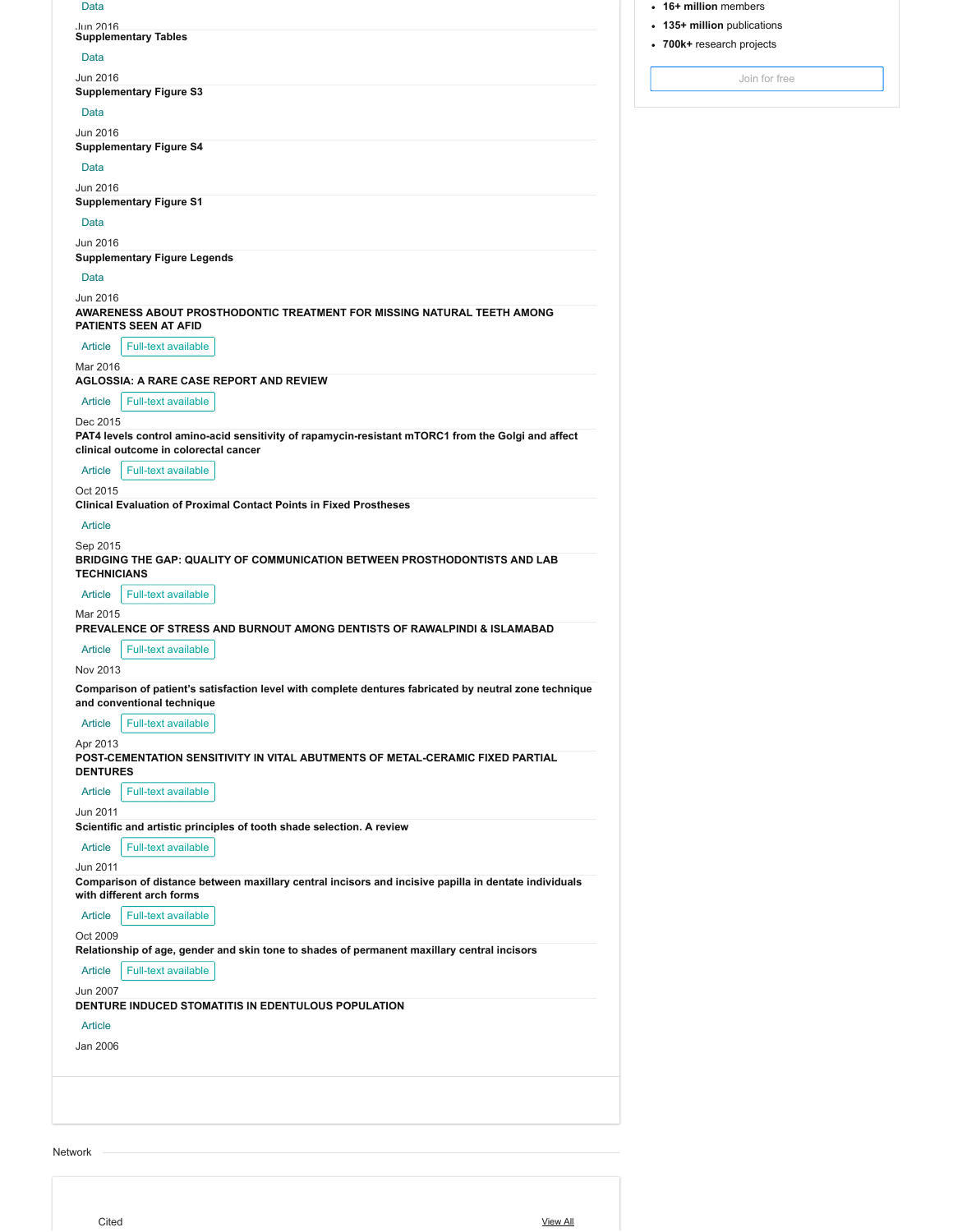| . . |  |
|-----|--|

# Jun 2016 **[Supplementary Tables](https://www.researchgate.net/publication/306571207_Supplementary_Tables)**

#### Data

Jun 2016

**[Supplementary Figure S3](https://www.researchgate.net/publication/306571298_Supplementary_Figure_S3)**

## Data

Jun 2016 **[Supplementary Figure S4](https://www.researchgate.net/publication/306571299_Supplementary_Figure_S4)**

### Data

Jun 2016

## **[Supplementary Figure S1](https://www.researchgate.net/publication/306571319_Supplementary_Figure_S1)**

Data

## Jun 2016

**[Supplementary Figure Legends](https://www.researchgate.net/publication/306571322_Supplementary_Figure_Legends)**

## Data

Jun 2016

**[AWARENESS ABOUT PROSTHODONTIC TREATMENT FOR MISSING NATURAL TEETH AMONG](https://www.researchgate.net/publication/301957136_AWARENESS_ABOUT_PROSTHODONTIC_TREATMENT_FOR_MISSING_NATURAL_TEETH_AMONG_PATIENTS_SEEN_AT_AFID) PATIENTS SEEN AT AFID**

### Article  $\parallel$  Full-text available

Mar 2016

**[AGLOSSIA: A RARE CASE REPORT AND REVIEW](https://www.researchgate.net/publication/308229939_AGLOSSIA_A_RARE_CASE_REPORT_AND_REVIEW)**

#### Article Full-text available

Dec 2015

**[PAT4 levels control amino-acid sensitivity of rapamycin-resistant mTORC1 from the Golgi and affect](https://www.researchgate.net/publication/282764674_PAT4_levels_control_amino-acid_sensitivity_of_rapamycin-resistant_mTORC1_from_the_Golgi_and_affect_clinical_outcome_in_colorectal_cancer) clinical outcome in colorectal cancer**

## Article Full-text available

Oct 2015

**[Clinical Evaluation of Proximal Contact Points in Fixed Prostheses](https://www.researchgate.net/publication/282037977_Clinical_Evaluation_of_Proximal_Contact_Points_in_Fixed_Prostheses)**

#### Article

Sep 2015 **[BRIDGING THE GAP: QUALITY OF COMMUNICATION BETWEEN PROSTHODONTISTS AND LAB](https://www.researchgate.net/publication/301957034_BRIDGING_THE_GAP_QUALITY_OF_COMMUNICATION_BETWEEN_PROSTHODONTISTS_AND_LAB_TECHNICIANS)**

## **TECHNICIANS**

Article Full-text available

#### Mar 2015

**[PREVALENCE OF STRESS AND BURNOUT AMONG DENTISTS OF RAWALPINDI & ISLAMABAD](https://www.researchgate.net/publication/329416341_PREVALENCE_OF_STRESS_AND_BURNOUT_AMONG_DENTISTS_OF_RAWALPINDI_ISLAMABAD)**

## Article Full-text available

Nov 2013

**[Comparison of patient's satisfaction level with complete dentures fabricated by neutral zone technique](https://www.researchgate.net/publication/262372469_Comparison_of_patient) and conventional technique**

## Article Full-text available

Apr 2013

**[POST-CEMENTATION SENSITIVITY IN VITAL ABUTMENTS OF METAL-CERAMIC FIXED PARTIAL](https://www.researchgate.net/publication/261287164_POST-CEMENTATION_SENSITIVITY_IN_VITAL_ABUTMENTS_OF_METAL-CERAMIC_FIXED_PARTIAL_DENTURES) DENTURES**

## Article Full-text available

Jun 2011

#### **[Scientific and artistic principles of tooth shade selection. A review](https://www.researchgate.net/publication/262372270_Scientific_and_artistic_principles_of_tooth_shade_selection_A_review)**

|                                                                                                       | with different arch forms     |  |  |  |
|-------------------------------------------------------------------------------------------------------|-------------------------------|--|--|--|
| Comparison of distance between maxillary central incisors and incisive papilla in dentate individuals |                               |  |  |  |
| Jun 2011                                                                                              |                               |  |  |  |
|                                                                                                       | Article   Full-text available |  |  |  |
|                                                                                                       |                               |  |  |  |

## Article Full-text available

Oct 2009

**[Relationship of age, gender and skin tone to shades of permanent maxillary central incisors](https://www.researchgate.net/publication/262187186_Relationship_of_age_gender_and_skin_tone_to_shades_of_permanent_maxillary_central_incisors)**

Article Full-text available

## Jun 2007

## **[DENTURE INDUCED STOMATITIS IN EDENTULOUS POPULATION](https://www.researchgate.net/publication/339229747_DENTURE_INDUCED_STOMATITIS_IN_EDENTULOUS_POPULATION)**

## Article

Jan 2006

Network

- **16+ million** members
- **135+ million** publications
- **700k+** research projects

[Join for free](https://www.researchgate.net/signup.SignUp.html)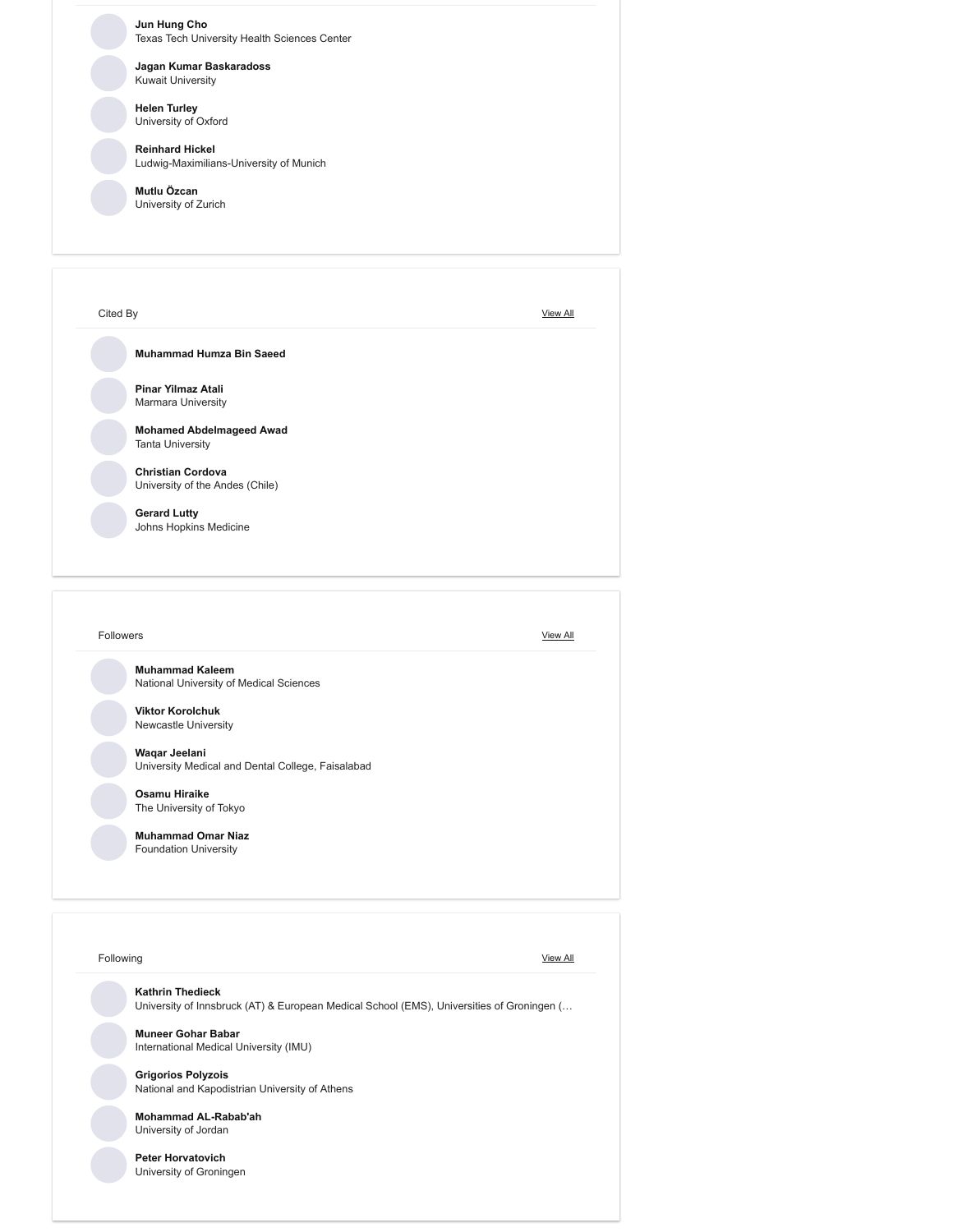**[Jun Hung Cho](https://www.researchgate.net/profile/JUN_HUNG_CHO)** Texas Tech University Health Sciences Center

#### **[Jagan Kumar Baskaradoss](https://www.researchgate.net/profile/Jagan_Baskaradoss)** Kuwait University

**[Helen Turley](https://www.researchgate.net/profile/Helen_Turley)** University of Oxford

**[Reinhard Hickel](https://www.researchgate.net/profile/Reinhard_Hickel)** Ludwig-Maximilians-University of Munich

**[Mutlu Özcan](https://www.researchgate.net/profile/Mutlu_Oezcan)** University of Zurich

| Cited By                                                    | <b>View All</b> |
|-------------------------------------------------------------|-----------------|
| Muhammad Humza Bin Saeed                                    |                 |
| Pinar Yilmaz Atali<br><b>Marmara University</b>             |                 |
| <b>Mohamed Abdelmageed Awad</b><br><b>Tanta University</b>  |                 |
| <b>Christian Cordova</b><br>University of the Andes (Chile) |                 |
| <b>Gerard Lutty</b><br>Johns Hopkins Medicine               |                 |

| <b>Muhammad Kaleem</b>                            |  |
|---------------------------------------------------|--|
| National University of Medical Sciences           |  |
| <b>Viktor Korolchuk</b>                           |  |
| Newcastle University                              |  |
|                                                   |  |
| Waqar Jeelani                                     |  |
| University Medical and Dental College, Faisalabad |  |
| Osamu Hiraike                                     |  |
| The University of Tokyo                           |  |
|                                                   |  |
| <b>Muhammad Omar Niaz</b>                         |  |
| <b>Foundation University</b>                      |  |
|                                                   |  |
|                                                   |  |

| <b>Kathrin Thedieck</b>                                                                   |
|-------------------------------------------------------------------------------------------|
| University of Innsbruck (AT) & European Medical School (EMS), Universities of Groningen ( |
| <b>Muneer Gohar Babar</b>                                                                 |
| International Medical University (IMU)                                                    |
| <b>Grigorios Polyzois</b>                                                                 |
| National and Kapodistrian University of Athens                                            |
| <b>Mohammad AL-Rabab'ah</b>                                                               |
| University of Jordan                                                                      |
| <b>Peter Horvatovich</b>                                                                  |
| University of Groningen                                                                   |